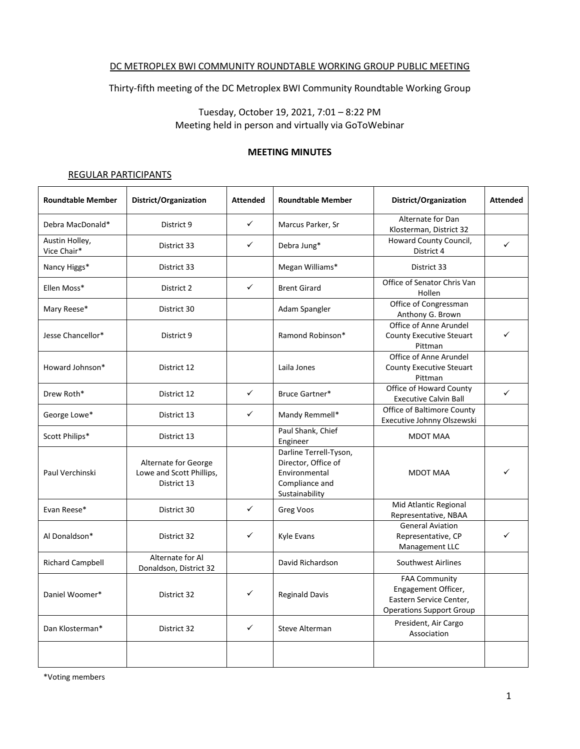#### DC METROPLEX BWI COMMUNITY ROUNDTABLE WORKING GROUP PUBLIC MEETING

Thirty-fifth meeting of the DC Metroplex BWI Community Roundtable Working Group

Tuesday, October 19, 2021, 7:01 – 8:22 PM Meeting held in person and virtually via GoToWebinar

#### **MEETING MINUTES**

#### REGULAR PARTICIPANTS

| <b>Roundtable Member</b>      | District/Organization                                           | <b>Attended</b> | <b>Roundtable Member</b>                                                                           | District/Organization                                                                                     | <b>Attended</b> |
|-------------------------------|-----------------------------------------------------------------|-----------------|----------------------------------------------------------------------------------------------------|-----------------------------------------------------------------------------------------------------------|-----------------|
| Debra MacDonald*              | District 9                                                      | ✓               | Marcus Parker, Sr                                                                                  | Alternate for Dan<br>Klosterman, District 32                                                              |                 |
| Austin Holley,<br>Vice Chair* | District 33                                                     | ✓               | Debra Jung*                                                                                        | Howard County Council,<br>District 4                                                                      | $\checkmark$    |
| Nancy Higgs*                  | District 33                                                     |                 | Megan Williams*                                                                                    | District 33                                                                                               |                 |
| Ellen Moss*                   | District 2                                                      | ✓               | <b>Brent Girard</b>                                                                                | Office of Senator Chris Van<br>Hollen                                                                     |                 |
| Mary Reese*                   | District 30                                                     |                 | Adam Spangler                                                                                      | Office of Congressman<br>Anthony G. Brown                                                                 |                 |
| Jesse Chancellor*             | District 9                                                      |                 | Ramond Robinson*                                                                                   | Office of Anne Arundel<br><b>County Executive Steuart</b><br>Pittman                                      |                 |
| Howard Johnson*               | District 12                                                     |                 | Laila Jones                                                                                        | Office of Anne Arundel<br><b>County Executive Steuart</b><br>Pittman                                      |                 |
| Drew Roth*                    | District 12                                                     | $\checkmark$    | Bruce Gartner*                                                                                     | Office of Howard County<br><b>Executive Calvin Ball</b>                                                   | $\checkmark$    |
| George Lowe*                  | District 13                                                     | ✓               | Mandy Remmell*                                                                                     | Office of Baltimore County<br>Executive Johnny Olszewski                                                  |                 |
| Scott Philips*                | District 13                                                     |                 | Paul Shank, Chief<br>Engineer                                                                      | <b>MDOT MAA</b>                                                                                           |                 |
| Paul Verchinski               | Alternate for George<br>Lowe and Scott Phillips,<br>District 13 |                 | Darline Terrell-Tyson,<br>Director, Office of<br>Environmental<br>Compliance and<br>Sustainability | <b>MDOT MAA</b>                                                                                           |                 |
| Evan Reese*                   | District 30                                                     | $\checkmark$    | Greg Voos                                                                                          | Mid Atlantic Regional<br>Representative, NBAA                                                             |                 |
| Al Donaldson*                 | District 32                                                     | ✓               | Kyle Evans                                                                                         | <b>General Aviation</b><br>Representative, CP<br>Management LLC                                           | $\checkmark$    |
| <b>Richard Campbell</b>       | Alternate for Al<br>Donaldson, District 32                      |                 | David Richardson                                                                                   | Southwest Airlines                                                                                        |                 |
| Daniel Woomer*                | District 32                                                     | ✓               | <b>Reginald Davis</b>                                                                              | <b>FAA Community</b><br>Engagement Officer,<br>Eastern Service Center,<br><b>Operations Support Group</b> |                 |
| Dan Klosterman*               | District 32                                                     | ✓               | Steve Alterman                                                                                     | President, Air Cargo<br>Association                                                                       |                 |
|                               |                                                                 |                 |                                                                                                    |                                                                                                           |                 |

\*Voting members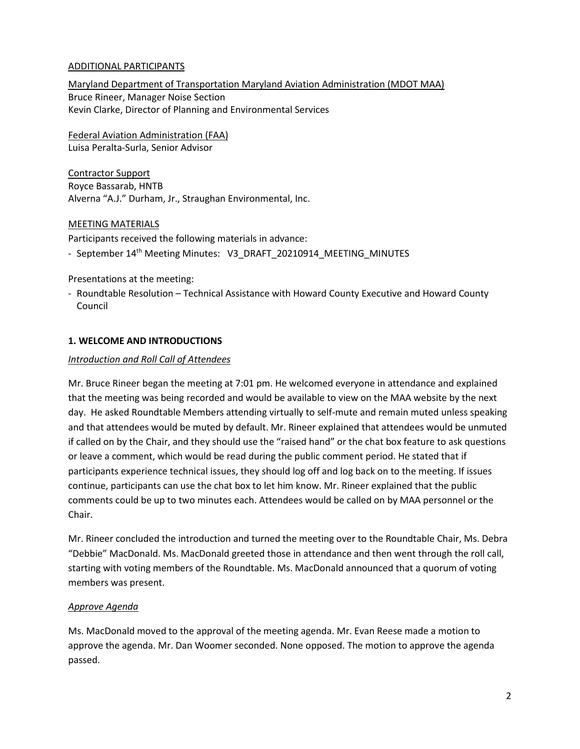## ADDITIONAL PARTICIPANTS

Maryland Department of Transportation Maryland Aviation Administration (MDOT MAA) Bruce Rineer, Manager Noise Section Kevin Clarke, Director of Planning and Environmental Services

Federal Aviation Administration (FAA) Luisa Peralta-Surla, Senior Advisor

Contractor Support Royce Bassarab, HNTB Alverna "A.J." Durham, Jr., Straughan Environmental, Inc.

### MEETING MATERIALS

Participants received the following materials in advance:

- September 14<sup>th</sup> Meeting Minutes: V3\_DRAFT\_20210914\_MEETING\_MINUTES

Presentations at the meeting:

- Roundtable Resolution – Technical Assistance with Howard County Executive and Howard County Council

## **1. WELCOME AND INTRODUCTIONS**

### *Introduction and Roll Call of Attendees*

Mr. Bruce Rineer began the meeting at 7:01 pm. He welcomed everyone in attendance and explained that the meeting was being recorded and would be available to view on the MAA website by the next day. He asked Roundtable Members attending virtually to self-mute and remain muted unless speaking and that attendees would be muted by default. Mr. Rineer explained that attendees would be unmuted if called on by the Chair, and they should use the "raised hand" or the chat box feature to ask questions or leave a comment, which would be read during the public comment period. He stated that if participants experience technical issues, they should log off and log back on to the meeting. If issues continue, participants can use the chat box to let him know. Mr. Rineer explained that the public comments could be up to two minutes each. Attendees would be called on by MAA personnel or the Chair.

Mr. Rineer concluded the introduction and turned the meeting over to the Roundtable Chair, Ms. Debra "Debbie" MacDonald. Ms. MacDonald greeted those in attendance and then went through the roll call, starting with voting members of the Roundtable. Ms. MacDonald announced that a quorum of voting members was present.

### *Approve Agenda*

Ms. MacDonald moved to the approval of the meeting agenda. Mr. Evan Reese made a motion to approve the agenda. Mr. Dan Woomer seconded. None opposed. The motion to approve the agenda passed.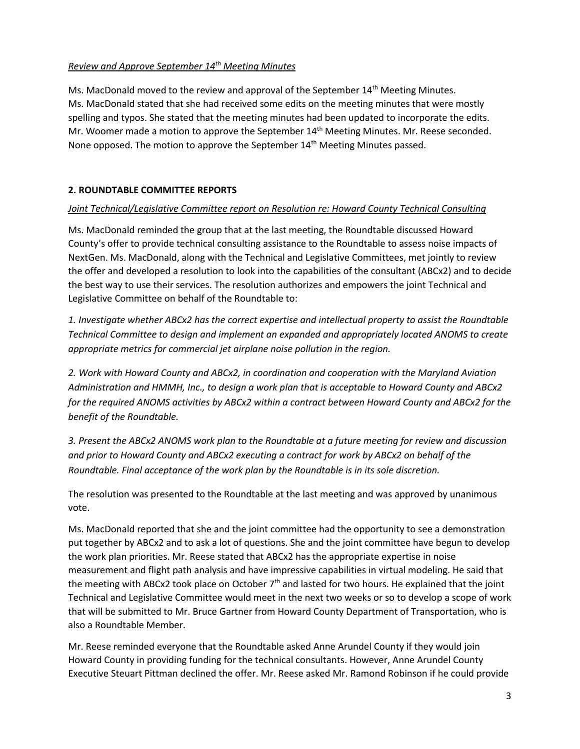# *Review and Approve September 14th Meeting Minutes*

Ms. MacDonald moved to the review and approval of the September 14<sup>th</sup> Meeting Minutes. Ms. MacDonald stated that she had received some edits on the meeting minutes that were mostly spelling and typos. She stated that the meeting minutes had been updated to incorporate the edits. Mr. Woomer made a motion to approve the September 14<sup>th</sup> Meeting Minutes. Mr. Reese seconded. None opposed. The motion to approve the September 14<sup>th</sup> Meeting Minutes passed.

# **2. ROUNDTABLE COMMITTEE REPORTS**

### *Joint Technical/Legislative Committee report on Resolution re: Howard County Technical Consulting*

Ms. MacDonald reminded the group that at the last meeting, the Roundtable discussed Howard County's offer to provide technical consulting assistance to the Roundtable to assess noise impacts of NextGen. Ms. MacDonald, along with the Technical and Legislative Committees, met jointly to review the offer and developed a resolution to look into the capabilities of the consultant (ABCx2) and to decide the best way to use their services. The resolution authorizes and empowers the joint Technical and Legislative Committee on behalf of the Roundtable to:

*1. Investigate whether ABCx2 has the correct expertise and intellectual property to assist the Roundtable Technical Committee to design and implement an expanded and appropriately located ANOMS to create appropriate metrics for commercial jet airplane noise pollution in the region.*

*2. Work with Howard County and ABCx2, in coordination and cooperation with the Maryland Aviation Administration and HMMH, Inc., to design a work plan that is acceptable to Howard County and ABCx2 for the required ANOMS activities by ABCx2 within a contract between Howard County and ABCx2 for the benefit of the Roundtable.*

*3. Present the ABCx2 ANOMS work plan to the Roundtable at a future meeting for review and discussion and prior to Howard County and ABCx2 executing a contract for work by ABCx2 on behalf of the Roundtable. Final acceptance of the work plan by the Roundtable is in its sole discretion.*

The resolution was presented to the Roundtable at the last meeting and was approved by unanimous vote.

Ms. MacDonald reported that she and the joint committee had the opportunity to see a demonstration put together by ABCx2 and to ask a lot of questions. She and the joint committee have begun to develop the work plan priorities. Mr. Reese stated that ABCx2 has the appropriate expertise in noise measurement and flight path analysis and have impressive capabilities in virtual modeling. He said that the meeting with ABCx2 took place on October 7<sup>th</sup> and lasted for two hours. He explained that the joint Technical and Legislative Committee would meet in the next two weeks or so to develop a scope of work that will be submitted to Mr. Bruce Gartner from Howard County Department of Transportation, who is also a Roundtable Member.

Mr. Reese reminded everyone that the Roundtable asked Anne Arundel County if they would join Howard County in providing funding for the technical consultants. However, Anne Arundel County Executive Steuart Pittman declined the offer. Mr. Reese asked Mr. Ramond Robinson if he could provide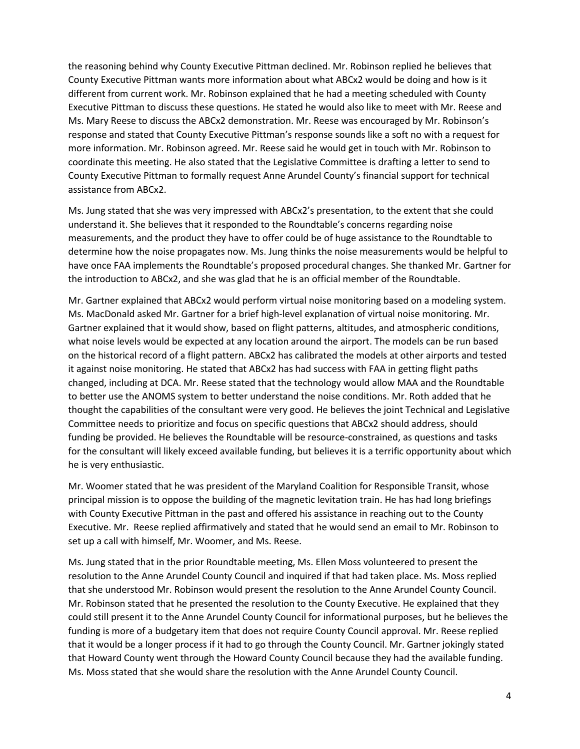the reasoning behind why County Executive Pittman declined. Mr. Robinson replied he believes that County Executive Pittman wants more information about what ABCx2 would be doing and how is it different from current work. Mr. Robinson explained that he had a meeting scheduled with County Executive Pittman to discuss these questions. He stated he would also like to meet with Mr. Reese and Ms. Mary Reese to discuss the ABCx2 demonstration. Mr. Reese was encouraged by Mr. Robinson's response and stated that County Executive Pittman's response sounds like a soft no with a request for more information. Mr. Robinson agreed. Mr. Reese said he would get in touch with Mr. Robinson to coordinate this meeting. He also stated that the Legislative Committee is drafting a letter to send to County Executive Pittman to formally request Anne Arundel County's financial support for technical assistance from ABCx2.

Ms. Jung stated that she was very impressed with ABCx2's presentation, to the extent that she could understand it. She believes that it responded to the Roundtable's concerns regarding noise measurements, and the product they have to offer could be of huge assistance to the Roundtable to determine how the noise propagates now. Ms. Jung thinks the noise measurements would be helpful to have once FAA implements the Roundtable's proposed procedural changes. She thanked Mr. Gartner for the introduction to ABCx2, and she was glad that he is an official member of the Roundtable.

Mr. Gartner explained that ABCx2 would perform virtual noise monitoring based on a modeling system. Ms. MacDonald asked Mr. Gartner for a brief high-level explanation of virtual noise monitoring. Mr. Gartner explained that it would show, based on flight patterns, altitudes, and atmospheric conditions, what noise levels would be expected at any location around the airport. The models can be run based on the historical record of a flight pattern. ABCx2 has calibrated the models at other airports and tested it against noise monitoring. He stated that ABCx2 has had success with FAA in getting flight paths changed, including at DCA. Mr. Reese stated that the technology would allow MAA and the Roundtable to better use the ANOMS system to better understand the noise conditions. Mr. Roth added that he thought the capabilities of the consultant were very good. He believes the joint Technical and Legislative Committee needs to prioritize and focus on specific questions that ABCx2 should address, should funding be provided. He believes the Roundtable will be resource-constrained, as questions and tasks for the consultant will likely exceed available funding, but believes it is a terrific opportunity about which he is very enthusiastic.

Mr. Woomer stated that he was president of the Maryland Coalition for Responsible Transit, whose principal mission is to oppose the building of the magnetic levitation train. He has had long briefings with County Executive Pittman in the past and offered his assistance in reaching out to the County Executive. Mr. Reese replied affirmatively and stated that he would send an email to Mr. Robinson to set up a call with himself, Mr. Woomer, and Ms. Reese.

Ms. Jung stated that in the prior Roundtable meeting, Ms. Ellen Moss volunteered to present the resolution to the Anne Arundel County Council and inquired if that had taken place. Ms. Moss replied that she understood Mr. Robinson would present the resolution to the Anne Arundel County Council. Mr. Robinson stated that he presented the resolution to the County Executive. He explained that they could still present it to the Anne Arundel County Council for informational purposes, but he believes the funding is more of a budgetary item that does not require County Council approval. Mr. Reese replied that it would be a longer process if it had to go through the County Council. Mr. Gartner jokingly stated that Howard County went through the Howard County Council because they had the available funding. Ms. Moss stated that she would share the resolution with the Anne Arundel County Council.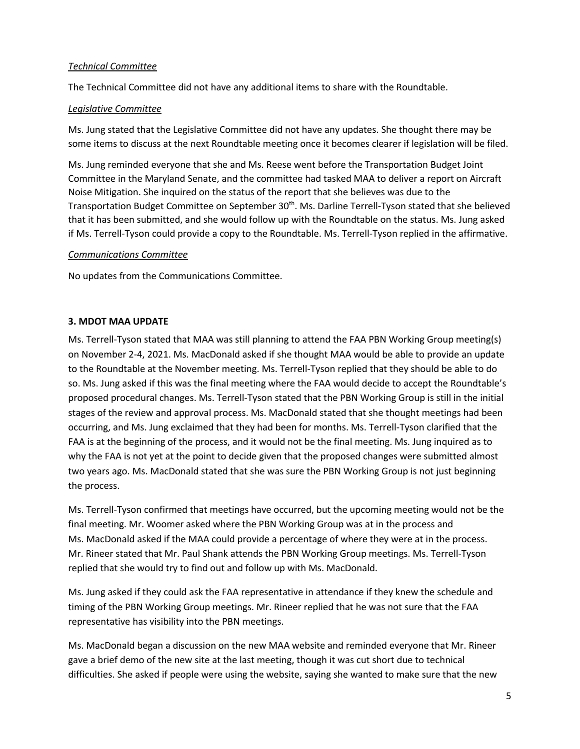### *Technical Committee*

The Technical Committee did not have any additional items to share with the Roundtable.

## *Legislative Committee*

Ms. Jung stated that the Legislative Committee did not have any updates. She thought there may be some items to discuss at the next Roundtable meeting once it becomes clearer if legislation will be filed.

Ms. Jung reminded everyone that she and Ms. Reese went before the Transportation Budget Joint Committee in the Maryland Senate, and the committee had tasked MAA to deliver a report on Aircraft Noise Mitigation. She inquired on the status of the report that she believes was due to the Transportation Budget Committee on September 30<sup>th</sup>. Ms. Darline Terrell-Tyson stated that she believed that it has been submitted, and she would follow up with the Roundtable on the status. Ms. Jung asked if Ms. Terrell-Tyson could provide a copy to the Roundtable. Ms. Terrell-Tyson replied in the affirmative.

## *Communications Committee*

No updates from the Communications Committee.

# **3. MDOT MAA UPDATE**

Ms. Terrell-Tyson stated that MAA was still planning to attend the FAA PBN Working Group meeting(s) on November 2-4, 2021. Ms. MacDonald asked if she thought MAA would be able to provide an update to the Roundtable at the November meeting. Ms. Terrell-Tyson replied that they should be able to do so. Ms. Jung asked if this was the final meeting where the FAA would decide to accept the Roundtable's proposed procedural changes. Ms. Terrell-Tyson stated that the PBN Working Group is still in the initial stages of the review and approval process. Ms. MacDonald stated that she thought meetings had been occurring, and Ms. Jung exclaimed that they had been for months. Ms. Terrell-Tyson clarified that the FAA is at the beginning of the process, and it would not be the final meeting. Ms. Jung inquired as to why the FAA is not yet at the point to decide given that the proposed changes were submitted almost two years ago. Ms. MacDonald stated that she was sure the PBN Working Group is not just beginning the process.

Ms. Terrell-Tyson confirmed that meetings have occurred, but the upcoming meeting would not be the final meeting. Mr. Woomer asked where the PBN Working Group was at in the process and Ms. MacDonald asked if the MAA could provide a percentage of where they were at in the process. Mr. Rineer stated that Mr. Paul Shank attends the PBN Working Group meetings. Ms. Terrell-Tyson replied that she would try to find out and follow up with Ms. MacDonald.

Ms. Jung asked if they could ask the FAA representative in attendance if they knew the schedule and timing of the PBN Working Group meetings. Mr. Rineer replied that he was not sure that the FAA representative has visibility into the PBN meetings.

Ms. MacDonald began a discussion on the new MAA website and reminded everyone that Mr. Rineer gave a brief demo of the new site at the last meeting, though it was cut short due to technical difficulties. She asked if people were using the website, saying she wanted to make sure that the new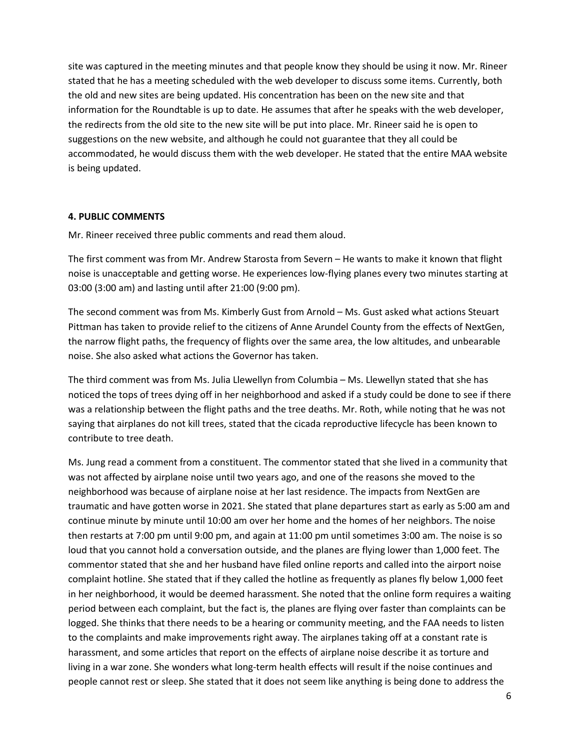site was captured in the meeting minutes and that people know they should be using it now. Mr. Rineer stated that he has a meeting scheduled with the web developer to discuss some items. Currently, both the old and new sites are being updated. His concentration has been on the new site and that information for the Roundtable is up to date. He assumes that after he speaks with the web developer, the redirects from the old site to the new site will be put into place. Mr. Rineer said he is open to suggestions on the new website, and although he could not guarantee that they all could be accommodated, he would discuss them with the web developer. He stated that the entire MAA website is being updated.

#### **4. PUBLIC COMMENTS**

Mr. Rineer received three public comments and read them aloud.

The first comment was from Mr. Andrew Starosta from Severn – He wants to make it known that flight noise is unacceptable and getting worse. He experiences low-flying planes every two minutes starting at 03:00 (3:00 am) and lasting until after 21:00 (9:00 pm).

The second comment was from Ms. Kimberly Gust from Arnold – Ms. Gust asked what actions Steuart Pittman has taken to provide relief to the citizens of Anne Arundel County from the effects of NextGen, the narrow flight paths, the frequency of flights over the same area, the low altitudes, and unbearable noise. She also asked what actions the Governor has taken.

The third comment was from Ms. Julia Llewellyn from Columbia – Ms. Llewellyn stated that she has noticed the tops of trees dying off in her neighborhood and asked if a study could be done to see if there was a relationship between the flight paths and the tree deaths. Mr. Roth, while noting that he was not saying that airplanes do not kill trees, stated that the cicada reproductive lifecycle has been known to contribute to tree death.

Ms. Jung read a comment from a constituent. The commentor stated that she lived in a community that was not affected by airplane noise until two years ago, and one of the reasons she moved to the neighborhood was because of airplane noise at her last residence. The impacts from NextGen are traumatic and have gotten worse in 2021. She stated that plane departures start as early as 5:00 am and continue minute by minute until 10:00 am over her home and the homes of her neighbors. The noise then restarts at 7:00 pm until 9:00 pm, and again at 11:00 pm until sometimes 3:00 am. The noise is so loud that you cannot hold a conversation outside, and the planes are flying lower than 1,000 feet. The commentor stated that she and her husband have filed online reports and called into the airport noise complaint hotline. She stated that if they called the hotline as frequently as planes fly below 1,000 feet in her neighborhood, it would be deemed harassment. She noted that the online form requires a waiting period between each complaint, but the fact is, the planes are flying over faster than complaints can be logged. She thinks that there needs to be a hearing or community meeting, and the FAA needs to listen to the complaints and make improvements right away. The airplanes taking off at a constant rate is harassment, and some articles that report on the effects of airplane noise describe it as torture and living in a war zone. She wonders what long-term health effects will result if the noise continues and people cannot rest or sleep. She stated that it does not seem like anything is being done to address the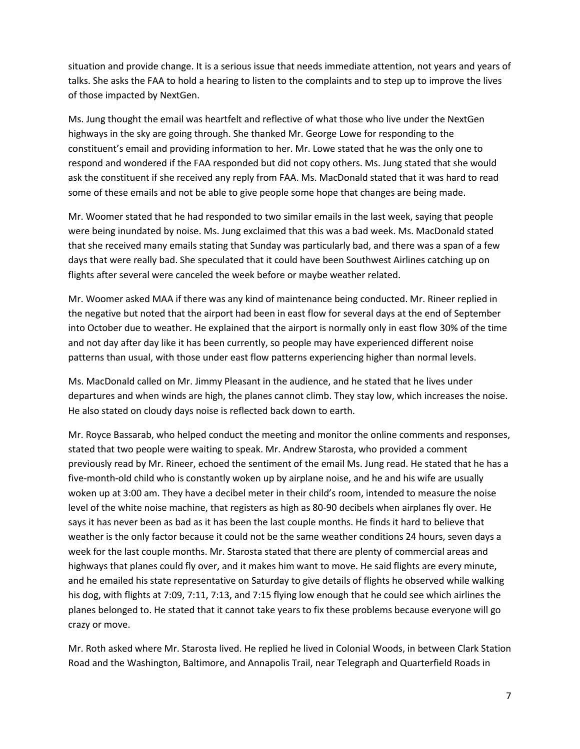situation and provide change. It is a serious issue that needs immediate attention, not years and years of talks. She asks the FAA to hold a hearing to listen to the complaints and to step up to improve the lives of those impacted by NextGen.

Ms. Jung thought the email was heartfelt and reflective of what those who live under the NextGen highways in the sky are going through. She thanked Mr. George Lowe for responding to the constituent's email and providing information to her. Mr. Lowe stated that he was the only one to respond and wondered if the FAA responded but did not copy others. Ms. Jung stated that she would ask the constituent if she received any reply from FAA. Ms. MacDonald stated that it was hard to read some of these emails and not be able to give people some hope that changes are being made.

Mr. Woomer stated that he had responded to two similar emails in the last week, saying that people were being inundated by noise. Ms. Jung exclaimed that this was a bad week. Ms. MacDonald stated that she received many emails stating that Sunday was particularly bad, and there was a span of a few days that were really bad. She speculated that it could have been Southwest Airlines catching up on flights after several were canceled the week before or maybe weather related.

Mr. Woomer asked MAA if there was any kind of maintenance being conducted. Mr. Rineer replied in the negative but noted that the airport had been in east flow for several days at the end of September into October due to weather. He explained that the airport is normally only in east flow 30% of the time and not day after day like it has been currently, so people may have experienced different noise patterns than usual, with those under east flow patterns experiencing higher than normal levels.

Ms. MacDonald called on Mr. Jimmy Pleasant in the audience, and he stated that he lives under departures and when winds are high, the planes cannot climb. They stay low, which increases the noise. He also stated on cloudy days noise is reflected back down to earth.

Mr. Royce Bassarab, who helped conduct the meeting and monitor the online comments and responses, stated that two people were waiting to speak. Mr. Andrew Starosta, who provided a comment previously read by Mr. Rineer, echoed the sentiment of the email Ms. Jung read. He stated that he has a five-month-old child who is constantly woken up by airplane noise, and he and his wife are usually woken up at 3:00 am. They have a decibel meter in their child's room, intended to measure the noise level of the white noise machine, that registers as high as 80-90 decibels when airplanes fly over. He says it has never been as bad as it has been the last couple months. He finds it hard to believe that weather is the only factor because it could not be the same weather conditions 24 hours, seven days a week for the last couple months. Mr. Starosta stated that there are plenty of commercial areas and highways that planes could fly over, and it makes him want to move. He said flights are every minute, and he emailed his state representative on Saturday to give details of flights he observed while walking his dog, with flights at 7:09, 7:11, 7:13, and 7:15 flying low enough that he could see which airlines the planes belonged to. He stated that it cannot take years to fix these problems because everyone will go crazy or move.

Mr. Roth asked where Mr. Starosta lived. He replied he lived in Colonial Woods, in between Clark Station Road and the Washington, Baltimore, and Annapolis Trail, near Telegraph and Quarterfield Roads in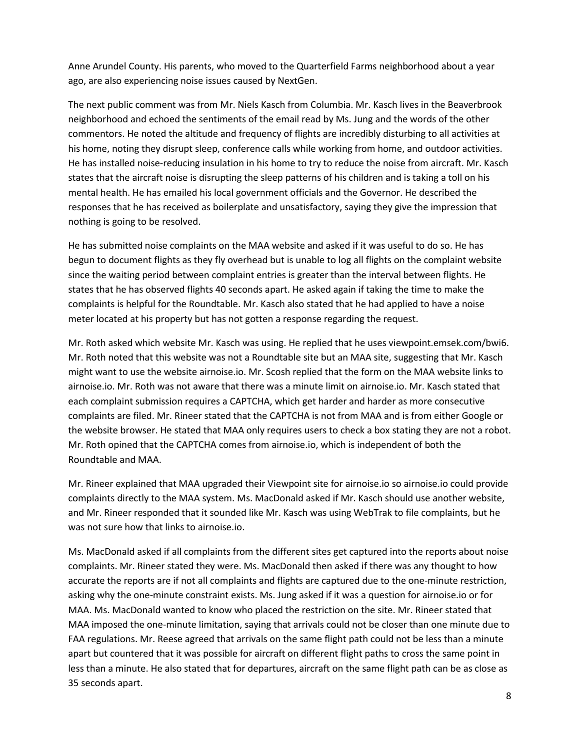Anne Arundel County. His parents, who moved to the Quarterfield Farms neighborhood about a year ago, are also experiencing noise issues caused by NextGen.

The next public comment was from Mr. Niels Kasch from Columbia. Mr. Kasch lives in the Beaverbrook neighborhood and echoed the sentiments of the email read by Ms. Jung and the words of the other commentors. He noted the altitude and frequency of flights are incredibly disturbing to all activities at his home, noting they disrupt sleep, conference calls while working from home, and outdoor activities. He has installed noise-reducing insulation in his home to try to reduce the noise from aircraft. Mr. Kasch states that the aircraft noise is disrupting the sleep patterns of his children and is taking a toll on his mental health. He has emailed his local government officials and the Governor. He described the responses that he has received as boilerplate and unsatisfactory, saying they give the impression that nothing is going to be resolved.

He has submitted noise complaints on the MAA website and asked if it was useful to do so. He has begun to document flights as they fly overhead but is unable to log all flights on the complaint website since the waiting period between complaint entries is greater than the interval between flights. He states that he has observed flights 40 seconds apart. He asked again if taking the time to make the complaints is helpful for the Roundtable. Mr. Kasch also stated that he had applied to have a noise meter located at his property but has not gotten a response regarding the request.

Mr. Roth asked which website Mr. Kasch was using. He replied that he uses viewpoint.emsek.com/bwi6. Mr. Roth noted that this website was not a Roundtable site but an MAA site, suggesting that Mr. Kasch might want to use the website airnoise.io. Mr. Scosh replied that the form on the MAA website links to airnoise.io. Mr. Roth was not aware that there was a minute limit on airnoise.io. Mr. Kasch stated that each complaint submission requires a CAPTCHA, which get harder and harder as more consecutive complaints are filed. Mr. Rineer stated that the CAPTCHA is not from MAA and is from either Google or the website browser. He stated that MAA only requires users to check a box stating they are not a robot. Mr. Roth opined that the CAPTCHA comes from airnoise.io, which is independent of both the Roundtable and MAA.

Mr. Rineer explained that MAA upgraded their Viewpoint site for airnoise.io so airnoise.io could provide complaints directly to the MAA system. Ms. MacDonald asked if Mr. Kasch should use another website, and Mr. Rineer responded that it sounded like Mr. Kasch was using WebTrak to file complaints, but he was not sure how that links to airnoise.io.

Ms. MacDonald asked if all complaints from the different sites get captured into the reports about noise complaints. Mr. Rineer stated they were. Ms. MacDonald then asked if there was any thought to how accurate the reports are if not all complaints and flights are captured due to the one-minute restriction, asking why the one-minute constraint exists. Ms. Jung asked if it was a question for airnoise.io or for MAA. Ms. MacDonald wanted to know who placed the restriction on the site. Mr. Rineer stated that MAA imposed the one-minute limitation, saying that arrivals could not be closer than one minute due to FAA regulations. Mr. Reese agreed that arrivals on the same flight path could not be less than a minute apart but countered that it was possible for aircraft on different flight paths to cross the same point in less than a minute. He also stated that for departures, aircraft on the same flight path can be as close as 35 seconds apart.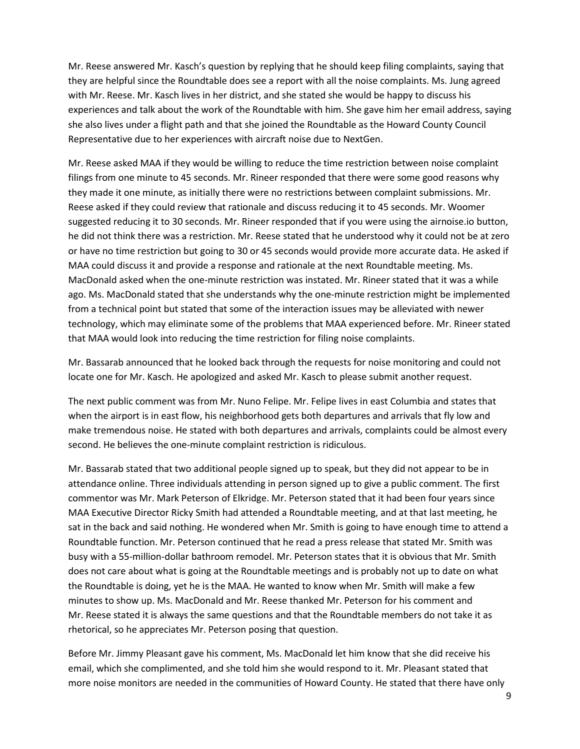Mr. Reese answered Mr. Kasch's question by replying that he should keep filing complaints, saying that they are helpful since the Roundtable does see a report with all the noise complaints. Ms. Jung agreed with Mr. Reese. Mr. Kasch lives in her district, and she stated she would be happy to discuss his experiences and talk about the work of the Roundtable with him. She gave him her email address, saying she also lives under a flight path and that she joined the Roundtable as the Howard County Council Representative due to her experiences with aircraft noise due to NextGen.

Mr. Reese asked MAA if they would be willing to reduce the time restriction between noise complaint filings from one minute to 45 seconds. Mr. Rineer responded that there were some good reasons why they made it one minute, as initially there were no restrictions between complaint submissions. Mr. Reese asked if they could review that rationale and discuss reducing it to 45 seconds. Mr. Woomer suggested reducing it to 30 seconds. Mr. Rineer responded that if you were using the airnoise.io button, he did not think there was a restriction. Mr. Reese stated that he understood why it could not be at zero or have no time restriction but going to 30 or 45 seconds would provide more accurate data. He asked if MAA could discuss it and provide a response and rationale at the next Roundtable meeting. Ms. MacDonald asked when the one-minute restriction was instated. Mr. Rineer stated that it was a while ago. Ms. MacDonald stated that she understands why the one-minute restriction might be implemented from a technical point but stated that some of the interaction issues may be alleviated with newer technology, which may eliminate some of the problems that MAA experienced before. Mr. Rineer stated that MAA would look into reducing the time restriction for filing noise complaints.

Mr. Bassarab announced that he looked back through the requests for noise monitoring and could not locate one for Mr. Kasch. He apologized and asked Mr. Kasch to please submit another request.

The next public comment was from Mr. Nuno Felipe. Mr. Felipe lives in east Columbia and states that when the airport is in east flow, his neighborhood gets both departures and arrivals that fly low and make tremendous noise. He stated with both departures and arrivals, complaints could be almost every second. He believes the one-minute complaint restriction is ridiculous.

Mr. Bassarab stated that two additional people signed up to speak, but they did not appear to be in attendance online. Three individuals attending in person signed up to give a public comment. The first commentor was Mr. Mark Peterson of Elkridge. Mr. Peterson stated that it had been four years since MAA Executive Director Ricky Smith had attended a Roundtable meeting, and at that last meeting, he sat in the back and said nothing. He wondered when Mr. Smith is going to have enough time to attend a Roundtable function. Mr. Peterson continued that he read a press release that stated Mr. Smith was busy with a 55-million-dollar bathroom remodel. Mr. Peterson states that it is obvious that Mr. Smith does not care about what is going at the Roundtable meetings and is probably not up to date on what the Roundtable is doing, yet he is the MAA. He wanted to know when Mr. Smith will make a few minutes to show up. Ms. MacDonald and Mr. Reese thanked Mr. Peterson for his comment and Mr. Reese stated it is always the same questions and that the Roundtable members do not take it as rhetorical, so he appreciates Mr. Peterson posing that question.

Before Mr. Jimmy Pleasant gave his comment, Ms. MacDonald let him know that she did receive his email, which she complimented, and she told him she would respond to it. Mr. Pleasant stated that more noise monitors are needed in the communities of Howard County. He stated that there have only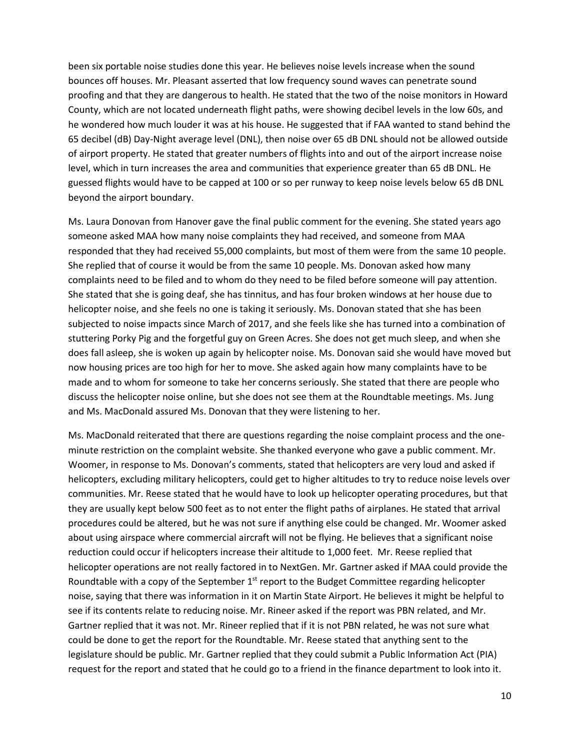been six portable noise studies done this year. He believes noise levels increase when the sound bounces off houses. Mr. Pleasant asserted that low frequency sound waves can penetrate sound proofing and that they are dangerous to health. He stated that the two of the noise monitors in Howard County, which are not located underneath flight paths, were showing decibel levels in the low 60s, and he wondered how much louder it was at his house. He suggested that if FAA wanted to stand behind the 65 decibel (dB) Day-Night average level (DNL), then noise over 65 dB DNL should not be allowed outside of airport property. He stated that greater numbers of flights into and out of the airport increase noise level, which in turn increases the area and communities that experience greater than 65 dB DNL. He guessed flights would have to be capped at 100 or so per runway to keep noise levels below 65 dB DNL beyond the airport boundary.

Ms. Laura Donovan from Hanover gave the final public comment for the evening. She stated years ago someone asked MAA how many noise complaints they had received, and someone from MAA responded that they had received 55,000 complaints, but most of them were from the same 10 people. She replied that of course it would be from the same 10 people. Ms. Donovan asked how many complaints need to be filed and to whom do they need to be filed before someone will pay attention. She stated that she is going deaf, she has tinnitus, and has four broken windows at her house due to helicopter noise, and she feels no one is taking it seriously. Ms. Donovan stated that she has been subjected to noise impacts since March of 2017, and she feels like she has turned into a combination of stuttering Porky Pig and the forgetful guy on Green Acres. She does not get much sleep, and when she does fall asleep, she is woken up again by helicopter noise. Ms. Donovan said she would have moved but now housing prices are too high for her to move. She asked again how many complaints have to be made and to whom for someone to take her concerns seriously. She stated that there are people who discuss the helicopter noise online, but she does not see them at the Roundtable meetings. Ms. Jung and Ms. MacDonald assured Ms. Donovan that they were listening to her.

Ms. MacDonald reiterated that there are questions regarding the noise complaint process and the oneminute restriction on the complaint website. She thanked everyone who gave a public comment. Mr. Woomer, in response to Ms. Donovan's comments, stated that helicopters are very loud and asked if helicopters, excluding military helicopters, could get to higher altitudes to try to reduce noise levels over communities. Mr. Reese stated that he would have to look up helicopter operating procedures, but that they are usually kept below 500 feet as to not enter the flight paths of airplanes. He stated that arrival procedures could be altered, but he was not sure if anything else could be changed. Mr. Woomer asked about using airspace where commercial aircraft will not be flying. He believes that a significant noise reduction could occur if helicopters increase their altitude to 1,000 feet. Mr. Reese replied that helicopter operations are not really factored in to NextGen. Mr. Gartner asked if MAA could provide the Roundtable with a copy of the September  $1<sup>st</sup>$  report to the Budget Committee regarding helicopter noise, saying that there was information in it on Martin State Airport. He believes it might be helpful to see if its contents relate to reducing noise. Mr. Rineer asked if the report was PBN related, and Mr. Gartner replied that it was not. Mr. Rineer replied that if it is not PBN related, he was not sure what could be done to get the report for the Roundtable. Mr. Reese stated that anything sent to the legislature should be public. Mr. Gartner replied that they could submit a Public Information Act (PIA) request for the report and stated that he could go to a friend in the finance department to look into it.